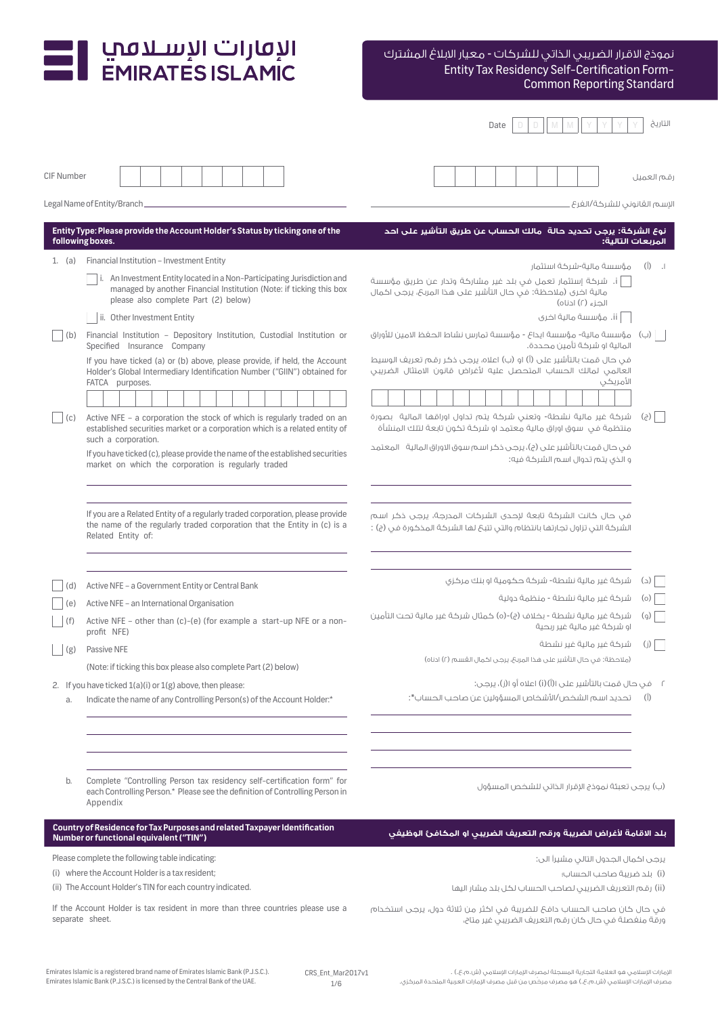# Entity Tax Residency Self-Certification Form-Common Reporting Standard نموذج االقرار الضريبي الذاتي للشركات - معيار االبالغ المشترك

|                   |                                                                                                                                                                                        | Date                                                                                                                                                | التاريخ                              |
|-------------------|----------------------------------------------------------------------------------------------------------------------------------------------------------------------------------------|-----------------------------------------------------------------------------------------------------------------------------------------------------|--------------------------------------|
| <b>CIF Number</b> |                                                                                                                                                                                        |                                                                                                                                                     | قم العميل                            |
|                   | Legal Name of Entity/Branch_                                                                                                                                                           | الإسم القانوني للشركة/الفرع                                                                                                                         |                                      |
|                   | Entity Type: Please provide the Account Holder's Status by ticking one of the<br>following boxes.                                                                                      | نوع الشركة: يرجى تحديد حالة  مالك الحساب عن طريق التأشير على احد<br>المربعات التالية:                                                               |                                      |
|                   | 1. (a) Financial Institution - Investment Entity                                                                                                                                       | مؤسسة مالية-شركة استثمار                                                                                                                            | $(\mathring{\mathcal{I}})$<br>$\Box$ |
|                   | i. An Investment Entity located in a Non-Participating Jurisdiction and<br>managed by another Financial Institution (Note: if ticking this box<br>please also complete Part (2) below) | i. شركة إستثمار تعمل في بلد غير مشاركة وتدار عن طريق مؤسسة<br>مالية اخرى (ملاحظة: في حال التأشير على هذا المربح، يرجى اكمال<br>الحزء (٢) ادناه)     |                                      |
|                   | ii. Other Investment Entity                                                                                                                                                            | ii. مؤسسة مالية اخرى                                                                                                                                |                                      |
| (b)               | Financial Institution - Depository Institution, Custodial Institution or<br>Specified Insurance Company                                                                                | مؤسسة مالية- مؤسسة ايداع - مؤسسة تمارس نشاط الحفظ الامين للأوراق<br>المالية او شركة تأمين محددة.                                                    |                                      |
|                   | If you have ticked (a) or (b) above, please provide, if held, the Account<br>Holder's Global Intermediary Identification Number ("GIIN") obtained for<br>FATCA purposes.               | في حال قمت بالتأشير على (أ) او (ب) اعلاه، يرجى ذكر رقـم تعريف الوسيط<br>العالمي لمالك الحساب المتحصل عليه لأغراض قانون الامتثال الضريبي<br>الأمريكى |                                      |
| (C)               | Active NFE - a corporation the stock of which is regularly traded on an<br>established securities market or a corporation which is a related entity of                                 | شركة غير مالية نشطة- وتعني شركة يتم تداول اوراقها المالية  بصورة<br>منتظمة في سوق اوراق مالية معتمد او شركة تكون تابعة لتلك المنشأة                 | $(\xi)$                              |
|                   | such a corporation.<br>If you have ticked (c), please provide the name of the established securities<br>market on which the corporation is regularly traded                            | في حال قمت بالتأشير على (ج)، يرجى ذكر اسم سوق الاوراق المالية    المعتمد<br>و الذي يتم تدوال اسم الشركة فيه:                                        |                                      |
|                   | If you are a Related Entity of a regularly traded corporation, please provide<br>the name of the regularly traded corporation that the Entity in (c) is a<br>Related Entity of:        | في حال كانت الشركة تابعة لإحدى الشركات المدرجة، يرجى ذكر اسم<br>الشركة التي تزاول تجارتها بانتظام والتي تتبعَ لها الشركة المذكورة في (ج) :          |                                      |
|                   | Active NFE - a Government Entity or Central Bank                                                                                                                                       | شركة غير مالية نشطة- شركة حكومية او بنك مركزى                                                                                                       | $(\supset)$                          |
| (e)               | Active NFE - an International Organisation                                                                                                                                             | شركة غير مالية نشطة - منظمة دولىة                                                                                                                   | $\circ$                              |
|                   | Active NFE - other than (c)-(e) (for example a start-up NFE or a non-<br>profit NFE)                                                                                                   | شركة غير مالية نشطة - بخلاف (ج)-(٥) حُمثال شركة غير مالية تحت التأمين<br>او شركة غير مالية غير ريحية                                                | (q)                                  |
| (g)               | Passive NFE                                                                                                                                                                            | شركة غير مالية غير نشطة<br>(ملاحظة: في حال التأشير على هذا المربح، يرجى اكمال القسم (٢) ادناه)                                                      | (j)                                  |
|                   | (Note: if ticking this box please also complete Part (2) below)                                                                                                                        |                                                                                                                                                     |                                      |
| a.                | 2. If you have ticked $1(a)(i)$ or $1(g)$ above, then please:<br>Indicate the name of any Controlling Person(s) of the Account Holder:*                                                | تحديد اسم الشخص/الأشخاص المسؤولين عن صاحب الحساب*:                                                                                                  | $(\dagger)$                          |
|                   |                                                                                                                                                                                        |                                                                                                                                                     |                                      |
| b.                | Complete "Controlling Person tax residency self-certification form" for<br>each Controlling Person.* Please see the definition of Controlling Person in<br>Appendix                    | (ب) يرجى تعبئة نموذج الإقرار الذاتى للشخص المسؤول                                                                                                   |                                      |
|                   | Country of Residence for Tax Purposes and related Taxpayer Identification<br>Number or functional equivalent ("TIN")                                                                   | بلد الاقامة لأغراض الضريبة ورقم التعريف الضريبى او المكافئ الوظيفى                                                                                  |                                      |
|                   | Please complete the following table indicating:                                                                                                                                        | يرجى اكمال الجدول التالي مشيراً الى:                                                                                                                |                                      |
|                   | (i) where the Account Holder is a tax resident;<br>(ii) The Account Holder's TIN for each country indicated.                                                                           | (i)  بلد ضريبة صاحب الحساب؛<br>(ii) رقم التعريف الضريبي لصاحب الحساب لكل بلد مشار اليها                                                             |                                      |
|                   | If the Account Holder is tax resident in more than three countries please use a<br>separate sheet.                                                                                     | في حال كان صاحب الحساب دافع للضريبة في اكثر من ثلاثة دول، يرجى استخدام<br>ورقة منفصلة في حال كان رقم التعريف الضريبي غير متاح،                      |                                      |
|                   |                                                                                                                                                                                        |                                                                                                                                                     |                                      |

I الإقارات الإسلامبي<br>EMIRATES ISLAMIC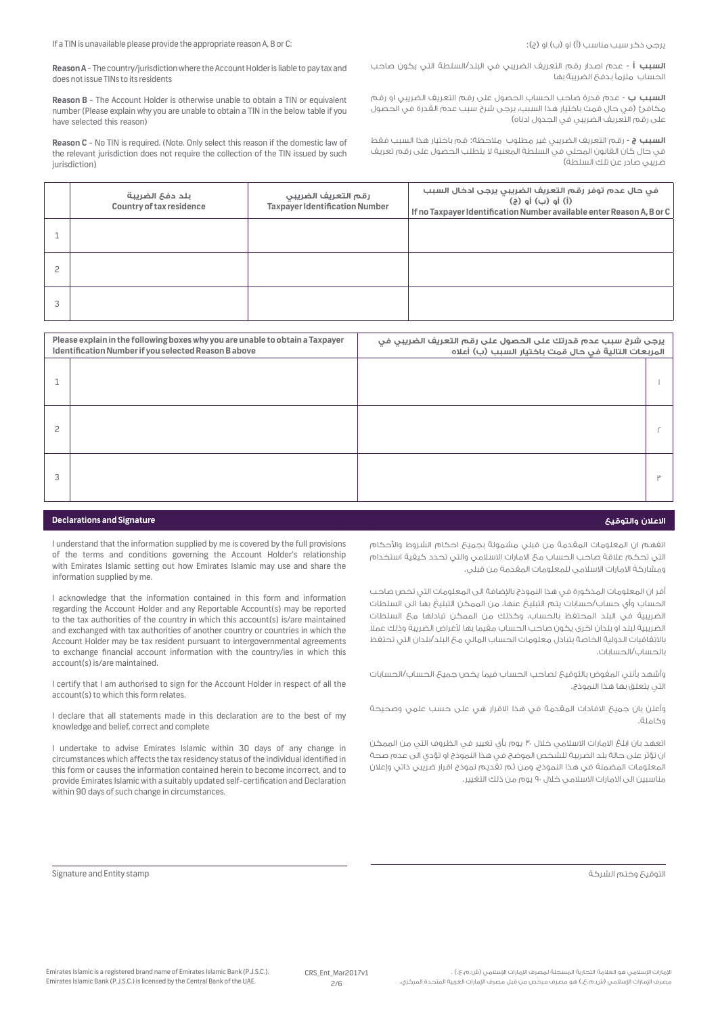**Reason A** - The country/jurisdiction where the Account Holder is liable to pay tax and does not issue TINs to its residents

**Reason B** - The Account Holder is otherwise unable to obtain a TIN or equivalent number (Please explain why you are unable to obtain a TIN in the below table if you have selected this reason)

**Reason C** - No TIN is required. (Note. Only select this reason if the domestic law of the relevant jurisdiction does not require the collection of the TIN issued by such jurisdiction)

**السبب أ** - عدم اصدار رقم التعريف الضريبي في البلد/السلطة التي يكون صاحب الحساب ملزمًا بدفع الضريبة بها

**السبب ب** - عدم قدرة صاحب الحساب الحصول على رقم التعريف الضريبي او رقم مكافئ )في حال قمت باختيار هذا السبب، يرجى شرح سبب عدم القدرة في الحصول على رقم التعريف الضريبي في الجدول ادناه(

**السبب ج** - رقم التعريف الضريبي غير مطلوب مالحظة: قم باختيار هذا السبب فقط في حال كان القانون المحلي في السلطة المعنية ال يتطلب الحصول على رقم تعريف ضريبي صادر عن تلك السلطة(

اتفهم ان المعلومات المقدمة من قبلي مشمولة بجميع احكام الشروط واألحكام التي تحكم عالقة صاحب الحساب مع االمارات االسالمي والتي تحدد كيفية استخدام

أقر ان المعلومات المذكورة في هذا النموذج باإلضافة الى المعلومات التي تخص صاحب الحساب وأي حساب/حسابات يتم التبليغ عنها، من الممكن التبليغ بها الى السلطات الضريبية في البلد المحتفظ بالحساب، وكذلك من الممكن تبادلها مع السلطات ً الضريبية لبلد او بلدان اخرى يكون صاحب الحساب مقيما بها ألغراض الضريبة وذلك عمال باالتفاقيات الدولية الخاصة بتبادل معلومات الحساب المالي مع البلد/بلدان التي تحتفظ

وأشهد بأنني المفوض بالتوقيع لصاحب الحساب فيما يخص جميع الحساب/الحسابات

وأعلن بان جميع االفادات المقدمة في هذا االقرار هي على حسب علمي وصحيحة

اتعهد بان ابلغ الامارات الاسلامي خلال ٣٠ يوم بأي تغيير في الظروف التي من الممكن ان تؤثر على حالة بلد الضريبة للشخص الموضح في هذا النموذج او تؤدي الى عدم صحة المعلومات المضمنة في هذا النموذج، ومن ثم تقديم نموذج اقرار ضريبي ذاتي وإعالن

ومشاركة االمارات االسالمي للمعلومات المقدمة من قبلي.

مناسبين الى االمارات االسالمي خالل 90 يوم من ذلك التغيير.

| بلد دفع الضريبة<br>Country of tax residence | رقم التعريف الضريبي<br>Taxpayer Identification Number | فى حال عدم توفر رقم التعريف الضريبي يرجى ادخال السبب<br>(i) أو (ب) أو (ج)<br>If no Taxpayer Identification Number available enter Reason A, B or C |
|---------------------------------------------|-------------------------------------------------------|----------------------------------------------------------------------------------------------------------------------------------------------------|
|                                             |                                                       |                                                                                                                                                    |
|                                             |                                                       |                                                                                                                                                    |
|                                             |                                                       |                                                                                                                                                    |

| Please explain in the following boxes why you are unable to obtain a Taxpayer<br>Identification Number if you selected Reason B above |  | يرجى شرح سبب عدم قدرتك على الحصول على رقم التعريف الضريبي في<br>المربعات التالية في حال قمت باختيار السبب (ب) أعلاه |  |
|---------------------------------------------------------------------------------------------------------------------------------------|--|---------------------------------------------------------------------------------------------------------------------|--|
|                                                                                                                                       |  |                                                                                                                     |  |
| 2                                                                                                                                     |  |                                                                                                                     |  |
| 3                                                                                                                                     |  |                                                                                                                     |  |

## **Declarations and Signature والتوقيع االعالن**

I understand that the information supplied by me is covered by the full provisions of the terms and conditions governing the Account Holder's relationship with Emirates Islamic setting out how Emirates Islamic may use and share the information supplied by me.

I acknowledge that the information contained in this form and information regarding the Account Holder and any Reportable Account(s) may be reported to the tax authorities of the country in which this account(s) is/are maintained and exchanged with tax authorities of another country or countries in which the Account Holder may be tax resident pursuant to intergovernmental agreements to exchange financial account information with the country/ies in which this account(s) is/are maintained.

I certify that I am authorised to sign for the Account Holder in respect of all the account(s) to which this form relates.

I declare that all statements made in this declaration are to the best of my knowledge and belief, correct and complete

I undertake to advise Emirates Islamic within 30 days of any change in circumstances which affects the tax residency status of the individual identified in this form or causes the information contained herein to become incorrect, and to provide Emirates Islamic with a suitably updated self-certification and Declaration within 90 days of such change in circumstances.

بالحساب/الحسابات.

وكاملة.

التي يتعلق بها هذا النموذج.

Signature and Entity stamp الشركة وختم التوقيع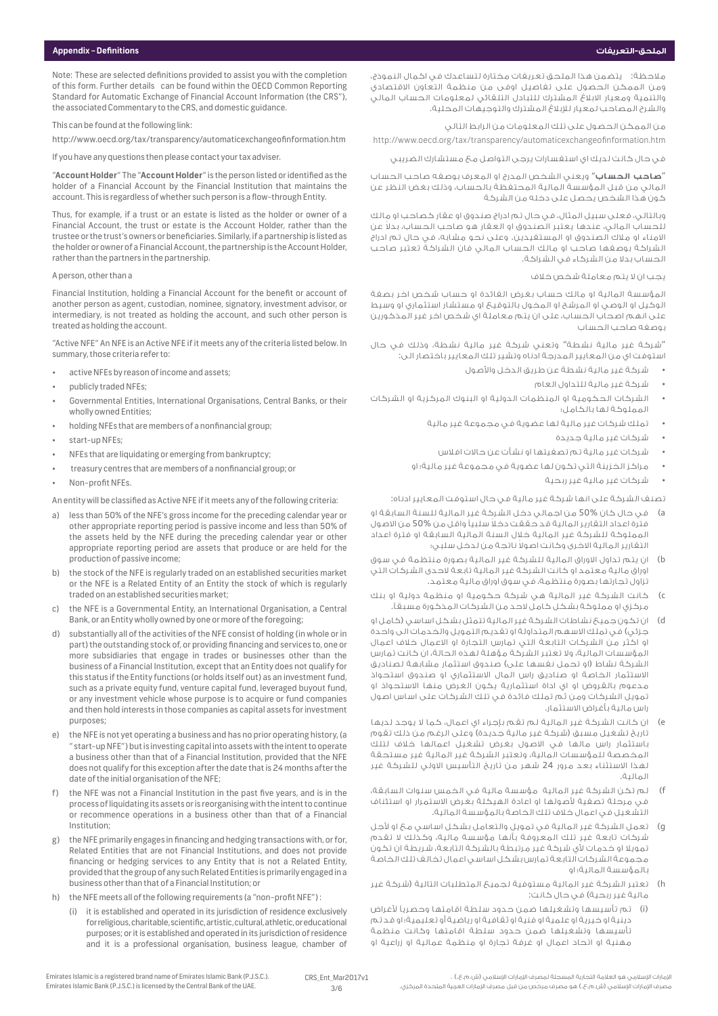Note: These are selected definitions provided to assist you with the completion of this form. Further details can be found within the OECD Common Reporting Standard for Automatic Exchange of Financial Account Information (the CRS"), the associated Commentary to the CRS, and domestic guidance.

This can be found at the following link:

http://www.oecd.org/tax/transparency/automaticexchangeofinformation.htm

If you have any questions then please contact your tax adviser.

"**Account Holder**" The "**Account Holder**" is the person listed or identified as the holder of a Financial Account by the Financial Institution that maintains the account. This is regardless of whether such person is a flow-through Entity.

Thus, for example, if a trust or an estate is listed as the holder or owner of a Financial Account, the trust or estate is the Account Holder, rather than the trustee or the trust's owners or beneficiaries. Similarly, if a partnership is listed as the holder or owner of a Financial Account, the partnership is the Account Holder, rather than the partners in the partnership.

#### A person, other than a

Financial Institution, holding a Financial Account for the benefit or account of another person as agent, custodian, nominee, signatory, investment advisor, or intermediary, is not treated as holding the account, and such other person is treated as holding the account.

"Active NFE" An NFE is an Active NFE if it meets any of the criteria listed below. In summary, those criteria refer to:

- active NFEs by reason of income and assets;
- publicly traded NFEs;
- Governmental Entities, International Organisations, Central Banks, or their wholly owned Entities;
- holding NFEs that are members of a nonfinancial group;
- start-up NFEs;
- NFEs that are liquidating or emerging from bankruptcy;
- treasury centres that are members of a nonfinancial group; or
- Non-profit NFFs.

An entity will be classified as Active NFE if it meets any of the following criteria:

- a) less than 50% of the NFE's gross income for the preceding calendar year or other appropriate reporting period is passive income and less than 50% of the assets held by the NFE during the preceding calendar year or other appropriate reporting period are assets that produce or are held for the production of passive income;
- b) the stock of the NFE is regularly traded on an established securities market or the NFE is a Related Entity of an Entity the stock of which is regularly traded on an established securities market;
- the NFE is a Governmental Entity, an International Organisation, a Central Bank, or an Entity wholly owned by one or more of the foregoing;
- d) substantially all of the activities of the NFE consist of holding (in whole or in part) the outstanding stock of, or providing financing and services to, one or more subsidiaries that engage in trades or businesses other than the business of a Financial Institution, except that an Entity does not qualify for this status if the Entity functions (or holds itself out) as an investment fund, such as a private equity fund, venture capital fund, leveraged buyout fund, or any investment vehicle whose purpose is to acquire or fund companies and then hold interests in those companies as capital assets for investment purposes;
- e) the NFE is not yet operating a business and has no prior operating history, (a " start-up NFE") but is investing capital into assets with the intent to operate a business other than that of a Financial Institution, provided that the NFE does not qualify for this exception after the date that is 24 months after the date of the initial organisation of the NFE;
- the NFE was not a Financial Institution in the past five years, and is in the process of liquidating its assets or is reorganising with the intent to continue or recommence operations in a business other than that of a Financial Institution;
- g) the NFE primarily engages in financing and hedging transactions with, or for, Related Entities that are not Financial Institutions, and does not provide financing or hedging services to any Entity that is not a Related Entity, provided that the group of any such Related Entities is primarily engaged in a business other than that of a Financial Institution; or
- the NFE meets all of the following requirements (a "non-profit NFE"):
	- (i) it is established and operated in its jurisdiction of residence exclusively for religious, charitable, scientific, artistic, cultural, athletic, or educational purposes; or it is established and operated in its jurisdiction of residence and it is a professional organisation, business league, chamber of

مالحظة: يتضمن هذا الملحق تعريفات مختارة لتساعدك في اكمال النموذج، ومن الممكن الحصول على تفاصيل اوفى من منظمة التعاون االقتصادي .<br>والتنمية ومعيار الابلاغ المشترك للتبادل التلقائي لمعلومات الحساب المالي والشرح المصاحب لمعيار لإلبالغ المشترك والتوجيهات المحلية.

من الممكن الحصول على تلك المعلومات من الرابط التالي

http://www.oecd.org/tax/transparency/automaticexchangeofinformation.htm

في حال كانت لديك اي استفسارات يرجى التواصل مع مستشارك الضريبي

.<br>'**صاحب الحساب**'' ويعنى الشخص المدرج او المعرف بوصفه صاحب الحساب المالي من قبل المؤسسة المالية المحتفظة بالحساب، وذلك بغض النظر عن كون هذا الشخص يحصل على دخله من الشركة

وبالتالي، فعلى سبيل المثال، في حال تم ادراج صندوق او عقار كصاحب او مالك ً للحساب المالي، عندها يعتبر الصندوق او العقار هو صاحب الحساب، بدال عن االمناء او مالك الصندوق او المستفيدين. وعلى نحو مشابه، في حال تم ادراج الشراكة بوصفها صاحب او مالك الحساب المالي فان الشراكة تعتبر صاحب الحساب بدال من الشركاء في الشراكة.

#### يجب ان ال يتم معاملة شخص خالف

المؤسسة المالية او مالك حساب بغرض الفائدة او حساب شخص اخر بصفة الوكيل او الوصي او المرشح او المخول بالتوقيع او مستشار استثماري او وسيط على انهم اصحاب الحساب، على ان يتم معاملة اي شخص اخر غير المذكورين بوصفه صاحب الحساب

"شركة غير مالية نشطة" وتعني شركة غير مالية نشطة، وذلك في حال استوفت اي من المعايير المدرجة ادناه وتشير تلك المعايير باختصار الى:

- شركة غير مالية نشطة عن طريق الدخل واألصول
	- شركة غير مالية للتداول العام
- الشركات الحكومية او المنظمات الدولية او البنوك المركزية او الشركات المملوكة لها بالكامل؛
	- تملك شركات غير مالية لها عضوية في مجموعة غير مالية
		- شركات غير مالية جديدة
		- شركات غير مالية تم تصفيتها او نشأت عن حاالت افالس
	- مراكز الخزينة التي تكون لها عضوية في مجموعة غير مالية؛ او
		- شركات غير مالية غير ربحية

تصنف الشركة على انها شركة غير مالية في حال استوفت المعايير ادناه:

- a )في حال كان 50% من اجمالي دخل الشركة غير المالية للسنة السابقة او ً فترة اعداد التقارير المالية قد حققت دخال سلبيًا واقل من 50% من االصول المملوكة للشركة غير المالية خالل السنة المالية السابقة او فترة اعداد ً التقارير المالية االخرى وكانت اصوال ناتجة من لدخل سلبي؛
- b )ان يتم تداول االوراق المالية للشركة غير المالية بصورة منتظمة في سوق اوراق مالية معتمد او كانت الشركة غير المالية تابعة الحدى الشركات التي تزاول تجارتها بصورة منتظمة، في سوق اوراق مالية معتمد.
- c) كانت الشركة غير المالية هي شركة حكومية او منظمة دولية او بنك مركزي او مملوكة بشكل كامل الحد من الشركات المذكورة مسبقًا.
- d )ان تكون جميع نشاطات الشركة غير المالية تتمثل بشكل اساسي )كامل او جزئي( في تملك االسهم المتداولة او تقديم التمويل والخدمات الى واحدة او اكثر من الشركات التابعة التي تمارس التجارة او االعمال خالف اعمال المؤسسات المالية، وال تعتبر الشركة مؤهلة لهذه الحالة، ان كانت تمارس الشركة نشاط )او تحمل نفسها على( صندوق استثمار مشابهة لصناديق االستثمار الخاصة او صناديق راس المال االستثماري او صندوق استحواذ مدعوم بالقروض او اي اداة استثمارية يكون الغرض منها االستحواذ او تمويل الشركات ومن ثم تملك فائدة في تلك الشركات على اساس اصول راس مالية بأغراض االستثمار.
- e )ان كانت الشركة غير المالية لم تقم بإجراء اي اعمال، كما ال يوجد لديها .<br>تاريخ تشغيل مسبق (شركة غير مالية جديدة) وعلى الرغم من ذلك تقوم باستثمار راس مالها في االصول بغرض تشغيل اعمالها خالف لتلك المخصصة للمؤسسات المالية، وتعتبر الشركة غير المالية غير مستحقة لهذا االستثناء بعد مرور 24 شهر من تاريخ التأسيس االولي للشركة غير المالية.
- f )لم تكن الشركة غير المالية مؤسسة مالية في الخمس سنوات السابقة، في مرحلة تصفية لأصولها او اعادة الهيكلة بغرض الاستمرار او استئناف التشغيل في اعمال خالف تلك الخاصة بالمؤسسة المالية.
- g )تعمل الشركة غير المالية في تمويل والتعامل بشكل اساسي مع او ألجل شركات تابعة غير تلك المعروفة بأنها مؤسسة مالية، وكذلك ال تقدم تمويلا او خدمات لأي شركة غير مرتبطة بالشركة التابعة، شريطة ان تكون مجموعة الشركات التابعة تمارس بشكل اساسي اعمال تخالف تلك الخاصة بالمؤسسة المالية؛ او
- h )تعتبر الشركة غير المالية مستوفية لجميع المتطلبات التالية )شركة غير مالية غير ربحية) في حال كانت:
- )i )تم تأسيسها وتشغيلها ضمن حدود سلطة اقامتها وحصريًا ألغراض دينية او خيرية او علمية او فنية او ثقافية او رياضية أو تعليمية؛ او قد تم تأسيسها وتشغيلها ضمن حدود سلطة اقامتها وكانت منظمة مهنية او اتحاد اعمال او غرفة تجارة او منظمة عمالية او زراعية او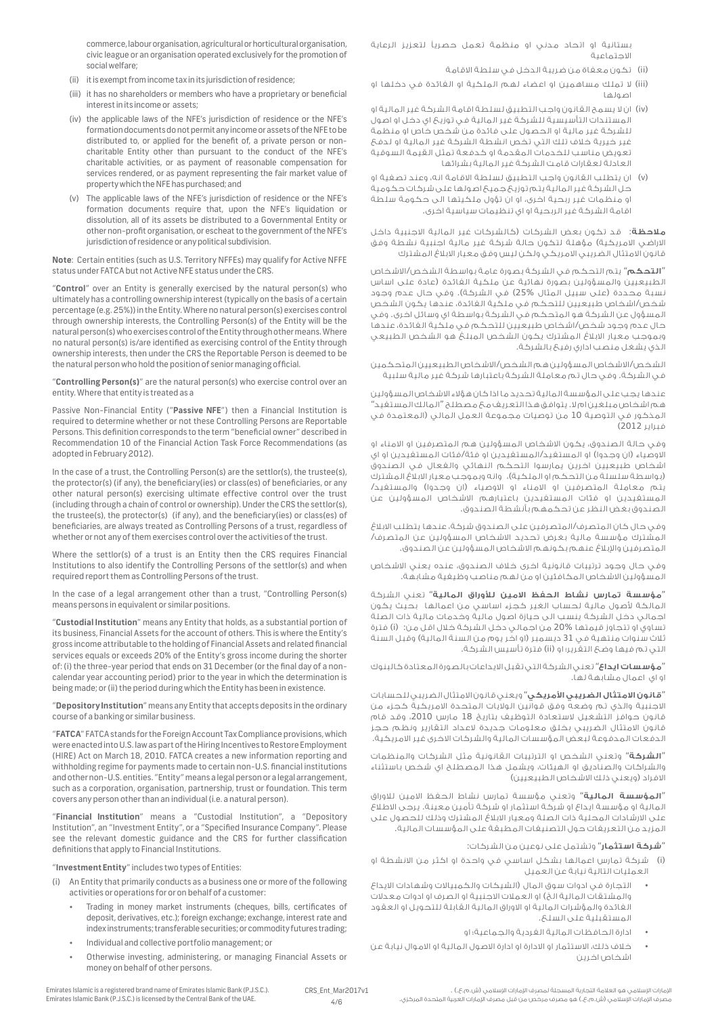commerce, labour organisation, agricultural or horticultural organisation, civic league or an organisation operated exclusively for the promotion of social welfare;

- (ii) it is exempt from income tax in its jurisdiction of residence;
- (iii) it has no shareholders or members who have a proprietary or beneficial interest in its income or assets;
- (iv) the applicable laws of the NFE's jurisdiction of residence or the NFE's formation documents do not permit any income or assets of the NFE to be distributed to, or applied for the benefit of, a private person or noncharitable Entity other than pursuant to the conduct of the NFE's charitable activities, or as payment of reasonable compensation for services rendered, or as payment representing the fair market value of property which the NFE has purchased; and
- (v) The applicable laws of the NFE's jurisdiction of residence or the NFE's formation documents require that, upon the NFE's liquidation or dissolution, all of its assets be distributed to a Governmental Entity or other non-profit organisation, or escheat to the government of the NFE's jurisdiction of residence or any political subdivision.

**Note**: Certain entities (such as U.S. Territory NFFEs) may qualify for Active NFFE status under FATCA but not Active NFE status under the CRS.

"**Control**" over an Entity is generally exercised by the natural person(s) who ultimately has a controlling ownership interest (typically on the basis of a certain percentage (e.g. 25%)) in the Entity. Where no natural person(s) exercises control through ownership interests, the Controlling Person(s) of the Entity will be the natural person(s) who exercises control of the Entity through other means. Where no natural person(s) is/are identified as exercising control of the Entity through ownership interests, then under the CRS the Reportable Person is deemed to be the natural person who hold the position of senior managing official.

"**Controlling Person(s)**" are the natural person(s) who exercise control over an entity. Where that entity is treated as a

Passive Non-Financial Entity ("**Passive NFE**") then a Financial Institution is required to determine whether or not these Controlling Persons are Reportable Persons. This definition corresponds to the term "beneficial owner" described in Recommendation 10 of the Financial Action Task Force Recommendations (as adopted in February 2012).

In the case of a trust, the Controlling Person(s) are the settlor(s), the trustee(s), the protector(s) (if any), the beneficiary(ies) or class(es) of beneficiaries, or any other natural person(s) exercising ultimate effective control over the trust (including through a chain of control or ownership). Under the CRS the settlor(s), the trustee(s), the protector(s) (if any), and the beneficiary(ies) or class(es) of beneficiaries, are always treated as Controlling Persons of a trust, regardless of whether or not any of them exercises control over the activities of the trust.

Where the settlor(s) of a trust is an Entity then the CRS requires Financial Institutions to also identify the Controlling Persons of the settlor(s) and when required report them as Controlling Persons of the trust.

In the case of a legal arrangement other than a trust, "Controlling Person(s) means persons in equivalent or similar positions.

"**Custodial Institution**" means any Entity that holds, as a substantial portion of its business, Financial Assets for the account of others. This is where the Entity's gross income attributable to the holding of Financial Assets and related financial services equals or exceeds 20% of the Entity's gross income during the shorter of: (i) the three-year period that ends on 31 December (or the final day of a noncalendar year accounting period) prior to the year in which the determination is being made; or (ii) the period during which the Entity has been in existence.

"**Depository Institution**" means any Entity that accepts deposits in the ordinary course of a banking or similar business.

"**FATCA**" FATCA stands for the Foreign Account Tax Compliance provisions, which were enacted into U.S. law as part of the Hiring Incentives to Restore Employment (HIRE) Act on March 18, 2010. FATCA creates a new information reporting and withholding regime for payments made to certain non-U.S. financial institutions and other non-U.S. entities. "Entity" means a legal person or a legal arrangement, such as a corporation, organisation, partnership, trust or foundation. This term covers any person other than an individual (i.e. a natural person).

"**Financial Institution**" means a "Custodial Institution", a "Depository Institution", an "Investment Entity", or a "Specified Insurance Company". Please see the relevant domestic guidance and the CRS for further classification definitions that apply to Financial Institutions.

### "**Investment Entity**" includes two types of Entities:

(i) An Entity that primarily conducts as a business one or more of the following activities or operations for or on behalf of a customer:

- Trading in money market instruments (cheques, bills, certificates of deposit, derivatives, etc.); foreign exchange; exchange, interest rate and index instruments; transferable securities; or commodity futures trading;
- • Individual and collective portfolio management; or
- Otherwise investing, administering, or managing Financial Assets or money on behalf of other persons.

بستانية او اتحاد مدني او منظمة تعمل حصريًا لتعزيز الرعاية االجتماعية

- )ii )تكون معفاة من ضريبة الدخل في سلطة االقامة
- )iii )ال تملك مساهمين او اعضاء لهم الملكية او الفائدة في دخلها او اصولها
- )iv )ان ال يسمح القانون واجب التطبيق لسلطة اقامة الشركة غير المالية او المستندات التأسيسية للشركة غير المالية في توزيع اي دخل او اصول للشركة غير مالية او الحصول على فائدة من شخص خاص او منظمة غير خيرية خالف تلك التي تخص انشطة الشركة غير المالية او لدفع تعويض مناسب للخدمات المقدمة او كدفعة تمثل القيمة السوقية العادلة لعقارات قامت الشركة غير المالية بشرائها
- )v )ان يتطلب القانون واجب التطبيق لسلطة االقامة انه، وعند تصفية او حل الشركة غير المالية يتم توزيع جميع اصولها على شركات حكومية او منظمات غير ربحية اخرى، او ان تؤول ملكيتها الى حكومة سلطة اقامة الشركة غير الربحية او اي تنظيمات سياسية اخرى.

**مالحظة**: قد تكون بعض الشركات )كالشركات غير المالية االجنبية داخل الاراضي الامريكية) مؤهلة لتكون حالة شركة غير مالية اجنبية نشطة وفق قانون الامتثال الضريبي الامريكي ولكن ليس وفق معيار الابلاغ المشترك

"**التحكم**" يتم التحكم في الشركة بصورة عامة بواسطة الشخص/االشخاص الطبيعيين والمسؤولين بصورة نهائية عن ملكية الفائدة (عادة على اساس نسبة محددة (على سبيل المثال %25) في الشركة). وفي حال عدم وجود شخص/اشخاص طبيعيين للتحكم في ملكية الفائدة، عندها يكون الشخص المسؤول عن الشركة هو المتحكم في الشركة بواسطة اي وسائل اخرى. وفي حال عدم وجود شخص/اشخاص طبيعيين للتحكم في ملكية الفائدة، عندها وبموجب معيار االبالغ المشترك يكون الشخص المبلغ هو الشخص الطبيعي الذي يشغل منصب اداري رفيع بالشركة.

الشخص/االشخاص المسؤولين هم الشخص/االشخاص الطبيعيين المتحكمين في الشركة. وفي حال تم معاملة الشركة باعتبارها شركة غير مالية سلبية

عندها يجب على المؤسسة المالية تحديد ما اذا كان هؤالء االشخاص المسؤولين هم اشخاص مبلغين ام ال. يتوافق هذا التعريف مع مصطلح "المالك المستفيد" المذكور في التوصية 10 من توصيات مجموعة العمل المالي )المعتمدة في فبراير 2012(

وفي حالة الصندوق، يكون االشخاص المسؤولين هم المتصرفين او االمناء او الاوصياء (ان وجدوا) او المستفيد/المستفيدين او فئة/فئات المستفيدين او اي اشخاص طبيعيين اخرين يمارسوا التحكم النهائي والفعال في الصندوق (بواسطة سلسلة من التحكم او الملكية)، وانه وبموجب معيار الابلاغ المشترك يتم معاملة المتصرفين او الامناء او الاوصياء (ان وجدوا) والمستفيد/ المستفيدين او فئات المستفيدين باعتبارهم االشخاص المسؤولين عن الصندوق بغض النظر عن تحكمهم بأنشطة الصندوق.

وفي حال كان المتصرف/المتصرفين على الصندوق شركة، عندها يتطلب االبالغ المشترك مؤسسة مالية بغرض تحديد االشخاص المسؤولين عن المتصرف/ المتصرفين واإلبالغ عنهم بكونهم االشخاص المسؤولين عن الصندوق.

وفي حال وجود ترتيبات قانونية اخرى خالف الصندوق، عنده يعني االشخاص المسؤولين االشخاص المكافئين او من لهم مناصب وظيفية مشابهة.

"**مؤسسة ت مارس ن شاط ال حفظ االمين ل ألوراق ال مال ية**" تعني الشركة المالكة لأصول مالية لحساب الغير كجزء اساسي من اعمالها ابحيث يكون اجمالي دخل الشركة ينسب الى حيازة اصول مالية وخدمات مالية ذات الصلة .<br>تساوي او تتجاوز قيمتها 20% من اجمالي دخل الشركة خلال اقل من: (i) فترة ثلاث سنوات منتهية في 31 ديسمبر (او اخر يوم من السنة المالية) وقبل السنة التي تم فيها وضع التقرير؛ او )ii )فترة تأسيس الشركة.

"**مؤسسات اي داع**" تعني الشركة التي تقبل االيداعات بالصورة المعتادة كالبنوك او اي اعمال مشابهة لها.

**"قانون الامتثال الضريبي الأمريكي"** ويعني قانون الامتثال الضريبي للحسابات االجنبية والذي تم وضعه وفق قوانين الواليات المتحدة االمريكية كجزء من قانون حوافز التشغيل لاستعادة التوظيف بتاريخ 18 مارس 2010، وقد قام قانون االمتثال الضريبي بخلق معلومات جديدة العداد التقارير ونظم حجز الدفعات المدفوعة لبعض المؤسسات المالية والشركات االخرى غير االمريكية.

"**ال شركة**" وتعني الشخص او الترتيبات القانونية مثل الشركات والمنظمات والشراكات والصناديق او الهيئات، ويشمل هذا المصطلح اي شخص باستثناء الافراد (ويعنى ذلك الاشخاص الطبيعيين)

"**ال مؤسسة ال مال ية**" وتعني مؤسسة تمارس نشاط الحفظ االمين لالوراق المالية او مؤسسة ايداع او شركة استثمار او شركة تأمين معينة. يرجى االطالع على االرشادات المحلية ذات الصلة ومعيار االبالغ المشترك وذلك للحصول على المزيد من التعريفات حول التصنيفات المطبقة على المؤسسات المالية.

## "**شركة استثمار**" وتشتمل على نوعين من الشركات:

)i )شركة تمارس اعمالها بشكل اساسي في واحدة او اكثر من االنشطة او العمليات التالية نيابة عن العميل

- التجارة في ادوات سوق المال )الشيكات والكمبياالت وشهادات االيداع والمشتقات المالية الخ) او العملات الاجنبية او الصرف او ادوات معدلات الفائدة والمؤشرات المالية او االوراق المالية القابلة للتحويل او العقود المستقبلية على السلع.
	- ادارة الحافظات المالية الفردية والجماعية؛ او
- خالف ذلك، االستثمار او االدارة او ادارة االصول المالية او االموال نيابة عن اشخاص اخرين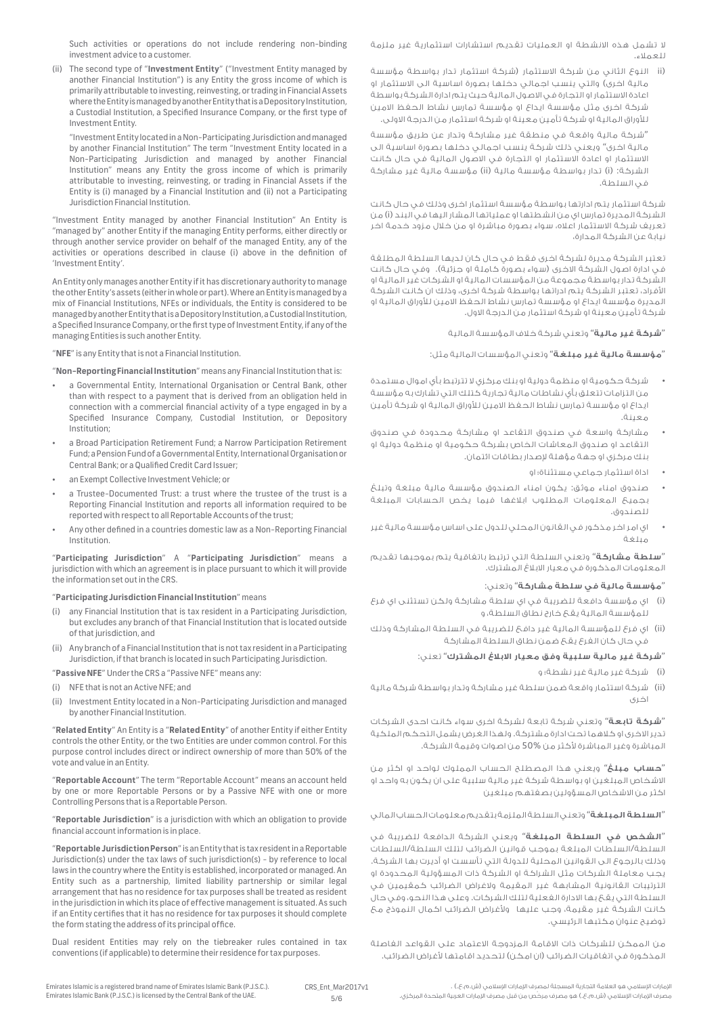ال تشمل هذه االنشطة او العمليات تقديم استشارات استثمارية غير ملزمة للعمالء.

)ii النوع الثاني من شركة االستثمار )شركة استثمار تدار بواسطة مؤسسة مالية اخرى) والتي ينسب اجمالي دخلها بصورة اساسية الى الاستثمار او اعادة االستثمار او التجارة في االصول المالية حيث يتم ادارة الشركة بواسطة شركة اخرى مثل مؤسسة ايداع او مؤسسة تمارس نشاط الحفظ االمين لألوراق المالية او شركة تأمين معينة او شركة استثمار من الدرجة االولى.

"شركة مالية واقعة في منطقة غير مشاركة وتدار عن طريق مؤسسة مالية اخرى" ويعني ذلك شركة ينسب اجمالي دخلها بصورة اساسية الى االستثمار او اعادة االستثمار او التجارة في االصول المالية في حال كانت الشركة: (i) تدار بواسطة مؤسسة مالية (ii) مؤسسة مالية غير مشاركة في السلطة.

شركة استثمار يتم ادارتها بواسطة مؤسسة استثمار اخرى وذلك في حال كانت الشركة المديرة تمارس اي من انشطتها او عملياتها المشار اليها في البند )i )من تعريف شركة االستثمار اعاله، سواء بصورة مباشرة او من خالل مزود خدمة اخر نيابة عن الشركة المدارة،

تعتبر الشركة مديرة لشركة اخرى فقط في حال كان لديها السلطة المطلقة في ادارة اصول الشركة الاخرى (سواء بصورة كاملة او جزئية). وفي حال كانت الشركة تدار بواسطة مجموعة من المؤسسات المالية او الشركات غير المالية او األفراد، تعتبر الشركة يتم ادراتها بواسطة شركة اخرى، وذلك ان كانت الشركة المديرة مؤسسة ايداع او مؤسسة تمارس نشاط الحفظ االمين لألوراق المالية او شركة تأمين معينة او شركة استثمار من الدرجة االول.

"**شركة غير مال ية**" وتعني شركة خالف المؤسسة المالية

"**مؤسسة مال ية غير مبلغة**" وتعني المؤسسات المالية مثل:

- شركة حكومية او منظمة دولية او بنك مركزي ال تترتبط بأي اموال مستمدة من التزامات تتعلق بأي نشاطات مالية تجارية كتلك التي تشارك به مؤسسة ايداع او مؤسسة تمارس نشاط الحفظ االمين لألوراق المالية او شركة تأمين معينة.
- مشاركة واسعة في صندوق التقاعد او مشاركة محدودة في صندوق التقاعد او صندوق المعاشات الخاص بشركة حكومية او منظمة دولية او بنك مركزي او جهة مؤهلة إلصدار بطاقات ائتمان.
	- اداة استثمار جماعي مستثناة؛ او
- صندوق امناء موثق: يكون امناء الصندوق مؤسسة مالية مبلغة وتبلغ بجميع المعلومات المطلوب ابالغها فيما يخص الحسابات المبلغة للصندوق.
- اي امر اخر مذكور في القانون المحلي للدول على اساس مؤسسة مالية غير مبلغة

"**سلطة مشاركة**" وتعني السلطة التي ترتبط باتفاقية يتم بموجبها تقديم المعلومات المذكورة في معيار االبالغ المشترك.

## "**مؤسسة مال ية في سلطة مشاركة**" وتعني:

- )i )اي مؤسسة دافعة للضريبة في اي سلطة مشاركة ولكن تستثنى اي فرع للمؤسسة المالية يقع خارج نطاق السلطة، و
- )ii )اي فرع للمؤسسة المالية غير دافع للضريبة في السلطة المشاركة وذلك في حال كان الفرع يقع ضمن نطاق السلطة المشاركة

## "**شركة غير مال ية سلبية وفق معيار االب الغ ال مشترك**" تعني:

)i )شركة غير مالية غير نشطة؛ و

)ii )شركة استثمار واقعة ضمن سلطة غير مشاركة وتدار بواسطة شركة مالية اخرى

"**شركة ت اب عة**" وتعني شركة تابعة لشركة اخرى سواء كانت احدى الشركات تدير االخرى او كالهما تحت ادارة مشتركة. ولهذا الغرض يشمل التحكم الملكية المباشرة وغير المباشرة لأكثر من %50 من اصوات وقيمة الشركة.

"**حساب مبلغ**" ويعني هذا المصطلح الحساب المملوك لواحد او اكثر من االشخاص المبلغين او بواسطة شركة غير مالية سلبية على ان يكون به واحد او اكثر من االشخاص المسؤولين بصفتهم مبلغين

"**ال سلطة ال مبلغة**" وتعني السلطة الملزمة بتقديم معلومات الحساب المالي

.<br>**"الشخص في السلطة المبلغة**" ويعني الشركة الدافعة للضريبة في السلطة/السلطات المبلغة بموجب قوانين الضرائب لتلك السلطة/السلطات وذلك بالرجوع الى القوانين المحلية للدولة التي تأسست او أديرت بها الشركة. يجب معاملة الشركات مثل الشراكة او الشركة ذات المسؤولية المحدودة او الترتيبات القانونية المشابهة غير المقيمة والغراض الضرائب كمقيمين في السلطة التي يقع بها االدارة الفعلية لتلك الشركات. وعلى هذا النحو، وفي حال كانت الشركة غير مقيمة، وجب عليها وألغراض الضرائب اكمال النموذج مع توضيح عنوان مكتبها الرئيسي.

من الممكن للشركات ذات االقامة المزدوجة االعتماد على القواعد الفاصلة المذكورة في اتغاقيات الضرائب (ان امكن) لتحديد اقامتها لأغراض الضرائب.

Such activities or operations do not include rendering non-binding investment advice to a customer.

(ii) The second type of "**Investment Entity**" ("Investment Entity managed by another Financial Institution") is any Entity the gross income of which is primarily attributable to investing, reinvesting, or trading in Financial Assets where the Entity is managed by another Entity that is a Depository Institution, a Custodial Institution, a Specified Insurance Company, or the first type of Investment Entity.

"Investment Entity located in a Non-Participating Jurisdiction and managed by another Financial Institution" The term "Investment Entity located in a Non-Participating Jurisdiction and managed by another Financial Institution" means any Entity the gross income of which is primarily attributable to investing, reinvesting, or trading in Financial Assets if the Entity is (i) managed by a Financial Institution and (ii) not a Participating Jurisdiction Financial Institution.

"Investment Entity managed by another Financial Institution" An Entity is "managed by" another Entity if the managing Entity performs, either directly or through another service provider on behalf of the managed Entity, any of the activities or operations described in clause (i) above in the definition of 'Investment Entity'.

An Entity only manages another Entity if it has discretionary authority to manage the other Entity's assets (either in whole or part). Where an Entity is managed by a mix of Financial Institutions, NFEs or individuals, the Entity is considered to be managed by another Entity that is a Depository Institution, a Custodial Institution, a Specified Insurance Company, or the first type of Investment Entity, if any of the managing Entities is such another Entity.

"**NFE**" is any Entity that is not a Financial Institution.

"**Non-Reporting Financial Institution**" means any Financial Institution that is:

- a Governmental Entity, International Organisation or Central Bank, other than with respect to a payment that is derived from an obligation held in connection with a commercial financial activity of a type engaged in by a Specified Insurance Company, Custodial Institution, or Depository Institution;
- a Broad Participation Retirement Fund; a Narrow Participation Retirement Fund; a Pension Fund of a Governmental Entity, International Organisation or Central Bank; or a Qualified Credit Card Issuer;
- an Exempt Collective Investment Vehicle; or
- a Trustee-Documented Trust: a trust where the trustee of the trust is a Reporting Financial Institution and reports all information required to be reported with respect to all Reportable Accounts of the trust;
- Any other defined in a countries domestic law as a Non-Reporting Financial Institution.

"**Participating Jurisdiction**" A "**Participating Jurisdiction**" means a jurisdiction with which an agreement is in place pursuant to which it will provide the information set out in the CRS.

### "**Participating Jurisdiction Financial Institution**" means

- (i) any Financial Institution that is tax resident in a Participating Jurisdiction, but excludes any branch of that Financial Institution that is located outside of that jurisdiction, and
- Any branch of a Financial Institution that is not tax resident in a Participating Jurisdiction, if that branch is located in such Participating Jurisdiction.

"**Passive NFE**" Under the CRS a "Passive NFE" means any:

- (i) NFE that is not an Active NFE; and
- (ii) Investment Entity located in a Non-Participating Jurisdiction and managed by another Financial Institution.

"**Related Entity**" An Entity is a "**Related Entity**" of another Entity if either Entity controls the other Entity, or the two Entities are under common control. For this purpose control includes direct or indirect ownership of more than 50% of the vote and value in an Entity.

"**Reportable Account**" The term "Reportable Account" means an account held by one or more Reportable Persons or by a Passive NFE with one or more Controlling Persons that is a Reportable Person.

"**Reportable Jurisdiction**" is a jurisdiction with which an obligation to provide financial account information is in place.

"**Reportable Jurisdiction Person**" is an Entity that is tax resident in a Reportable Jurisdiction(s) under the tax laws of such jurisdiction(s) - by reference to local laws in the country where the Entity is established, incorporated or managed. An Entity such as a partnership, limited liability partnership or similar legal arrangement that has no residence for tax purposes shall be treated as resident in the jurisdiction in which its place of effective management is situated. As such if an Entity certifies that it has no residence for tax purposes it should complete the form stating the address of its principal office.

Dual resident Entities may rely on the tiebreaker rules contained in tax conventions (if applicable) to determine their residence for tax purposes.